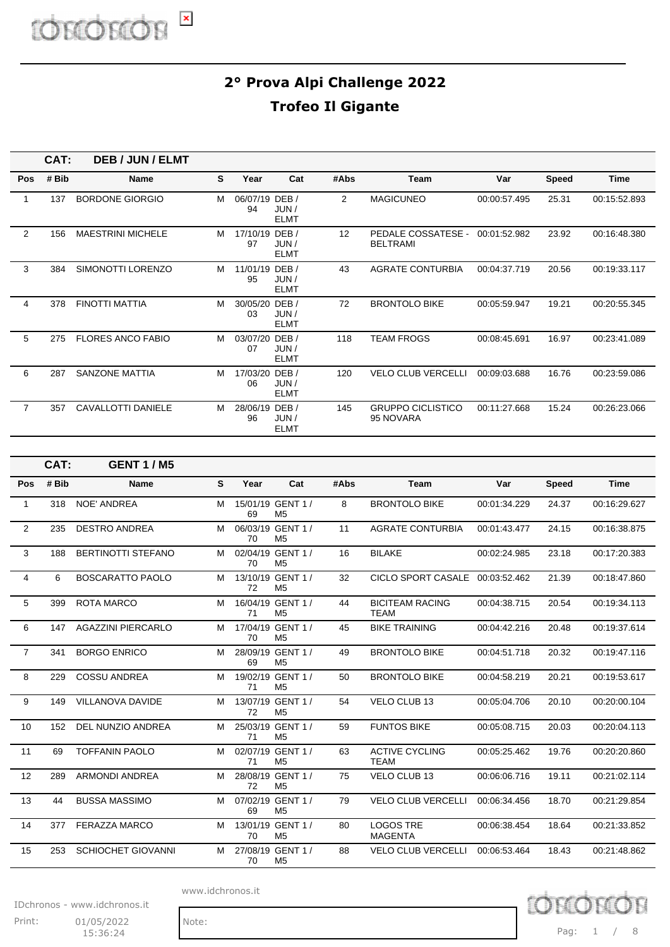|                | CAT:  | <b>DEB / JUN / ELMT</b>   |   |                      |                             |                |                                       |              |              |              |
|----------------|-------|---------------------------|---|----------------------|-----------------------------|----------------|---------------------------------------|--------------|--------------|--------------|
| Pos            | # Bib | <b>Name</b>               | S | Year                 | Cat                         | #Abs           | Team                                  | Var          | <b>Speed</b> | Time         |
| 1              | 137   | <b>BORDONE GIORGIO</b>    | м | 06/07/19 DEB /<br>94 | JUN/<br><b>ELMT</b>         | $\overline{2}$ | <b>MAGICUNEO</b>                      | 00:00:57.495 | 25.31        | 00:15:52.893 |
| 2              | 156   | <b>MAESTRINI MICHELE</b>  | м | 17/10/19 DEB /<br>97 | JUN/<br><b>ELMT</b>         | 12             | PEDALE COSSATESE -<br><b>BELTRAMI</b> | 00:01:52.982 | 23.92        | 00:16:48.380 |
| 3              | 384   | SIMONOTTI LORENZO         | м | 11/01/19 DEB /<br>95 | JUN/<br><b>ELMT</b>         | 43             | AGRATE CONTURBIA                      | 00:04:37.719 | 20.56        | 00:19:33.117 |
| 4              | 378   | FINOTTI MATTIA            | M | 30/05/20<br>03       | DEB/<br>JUN/<br><b>ELMT</b> | 72             | <b>BRONTOLO BIKE</b>                  | 00:05:59.947 | 19.21        | 00:20:55.345 |
| 5              | 275   | <b>FLORES ANCO FABIO</b>  | м | 03/07/20<br>07       | DEB/<br>JUN/<br><b>ELMT</b> | 118            | TEAM FROGS                            | 00:08:45.691 | 16.97        | 00:23:41.089 |
| 6              | 287   | <b>SANZONE MATTIA</b>     | M | 17/03/20<br>06       | DEB/<br>JUN/<br><b>ELMT</b> | 120            | <b>VELO CLUB VERCELLI</b>             | 00:09:03.688 | 16.76        | 00:23:59.086 |
| $\overline{7}$ | 357   | <b>CAVALLOTTI DANIELE</b> | м | 28/06/19 DEB /<br>96 | JUN/<br><b>ELMT</b>         | 145            | <b>GRUPPO CICLISTICO</b><br>95 NOVARA | 00:11:27.668 | 15.24        | 00:26:23.066 |

|                | CAT:  | <b>GENT 1/M5</b>          |   |      |                                     |      |                                       |              |              |              |
|----------------|-------|---------------------------|---|------|-------------------------------------|------|---------------------------------------|--------------|--------------|--------------|
| Pos            | # Bib | <b>Name</b>               | S | Year | Cat                                 | #Abs | Team                                  | Var          | <b>Speed</b> | <b>Time</b>  |
| 1              | 318   | <b>NOE' ANDREA</b>        | M | 69   | 15/01/19 GENT 1 /<br>M <sub>5</sub> | 8    | <b>BRONTOLO BIKE</b>                  | 00:01:34.229 | 24.37        | 00:16:29.627 |
| $\overline{2}$ | 235   | <b>DESTRO ANDREA</b>      | м | 70   | 06/03/19 GENT 1 /<br>M <sub>5</sub> | 11   | <b>AGRATE CONTURBIA</b>               | 00:01:43.477 | 24.15        | 00:16:38.875 |
| 3              | 188   | <b>BERTINOTTI STEFANO</b> | M | 70   | 02/04/19 GENT 1 /<br>M <sub>5</sub> | 16   | <b>BILAKE</b>                         | 00:02:24.985 | 23.18        | 00:17:20.383 |
| 4              | 6     | <b>BOSCARATTO PAOLO</b>   | м | 72   | 13/10/19 GENT 1 /<br>M <sub>5</sub> | 32   | CICLO SPORT CASALE 00:03:52.462       |              | 21.39        | 00:18:47.860 |
| 5              | 399   | ROTA MARCO                | M | 71   | 16/04/19 GENT 1 /<br>M <sub>5</sub> | 44   | <b>BICITEAM RACING</b><br><b>TEAM</b> | 00:04:38.715 | 20.54        | 00:19:34.113 |
| 6              | 147   | <b>AGAZZINI PIERCARLO</b> | М | 70   | 17/04/19 GENT 1 /<br>M <sub>5</sub> | 45   | <b>BIKE TRAINING</b>                  | 00:04:42.216 | 20.48        | 00:19:37.614 |
| $\overline{7}$ | 341   | <b>BORGO ENRICO</b>       | м | 69   | 28/09/19 GENT 1 /<br>M <sub>5</sub> | 49   | <b>BRONTOLO BIKE</b>                  | 00:04:51.718 | 20.32        | 00:19:47.116 |
| 8              | 229   | <b>COSSU ANDREA</b>       | м | 71   | 19/02/19 GENT 1 /<br>M <sub>5</sub> | 50   | <b>BRONTOLO BIKE</b>                  | 00:04:58.219 | 20.21        | 00:19:53.617 |
| 9              | 149   | <b>VILLANOVA DAVIDE</b>   | м | 72   | 13/07/19 GENT 1 /<br>M <sub>5</sub> | 54   | <b>VELO CLUB 13</b>                   | 00:05:04.706 | 20.10        | 00:20:00.104 |
| 10             | 152   | DEL NUNZIO ANDREA         | м | 71   | 25/03/19 GENT 1 /<br>M <sub>5</sub> | 59   | <b>FUNTOS BIKE</b>                    | 00:05:08.715 | 20.03        | 00:20:04.113 |
| 11             | 69    | <b>TOFFANIN PAOLO</b>     | M | 71   | 02/07/19 GENT 1 /<br>M <sub>5</sub> | 63   | <b>ACTIVE CYCLING</b><br><b>TEAM</b>  | 00:05:25.462 | 19.76        | 00:20:20.860 |
| 12             | 289   | <b>ARMONDI ANDREA</b>     | м | 72   | 28/08/19 GENT 1 /<br>M <sub>5</sub> | 75   | VELO CLUB 13                          | 00:06:06.716 | 19.11        | 00:21:02.114 |
| 13             | 44    | <b>BUSSA MASSIMO</b>      | м | 69   | 07/02/19 GENT 1 /<br>M <sub>5</sub> | 79   | <b>VELO CLUB VERCELLI</b>             | 00:06:34.456 | 18.70        | 00:21:29.854 |
| 14             | 377   | <b>FERAZZA MARCO</b>      | М | 70   | 13/01/19 GENT 1 /<br>M <sub>5</sub> | 80   | <b>LOGOS TRE</b><br><b>MAGENTA</b>    | 00:06:38.454 | 18.64        | 00:21:33.852 |
| 15             | 253   | <b>SCHIOCHET GIOVANNI</b> | м | 70   | 27/08/19 GENT 1 /<br>M <sub>5</sub> | 88   | <b>VELO CLUB VERCELLI</b>             | 00:06:53.464 | 18.43        | 00:21:48.862 |

www.idchronos.it

IDchronos - www.idchronos.it

Print: 01/05/2022 Note:  $15:36:24$ 

Pag: 1 / 8

 $D$  chron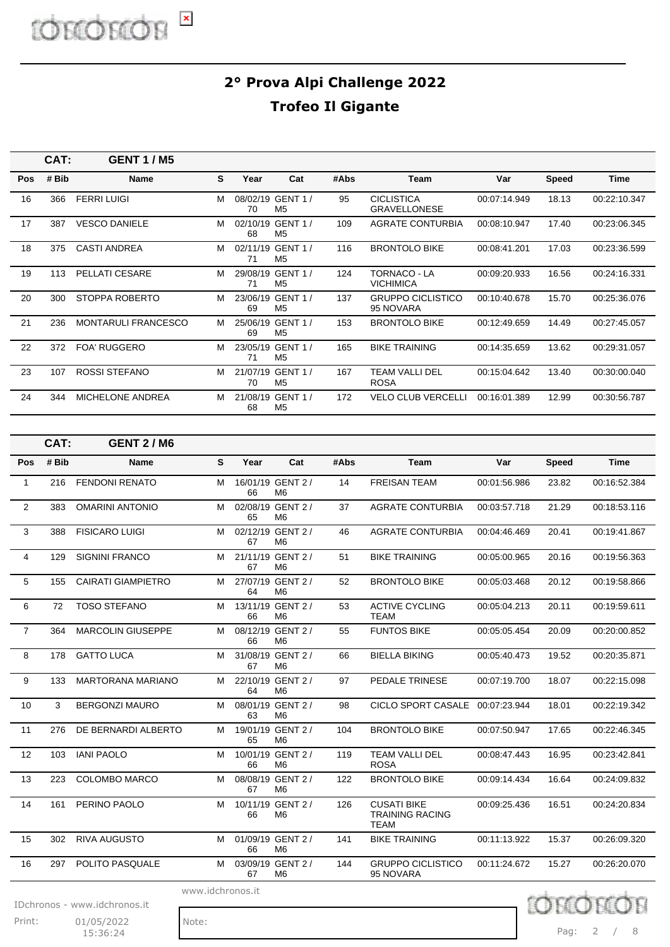|            | CAT:  | <b>GENT 1/M5</b>           |   |      |                                     |      |                                          |              |              |              |
|------------|-------|----------------------------|---|------|-------------------------------------|------|------------------------------------------|--------------|--------------|--------------|
| <b>Pos</b> | # Bib | <b>Name</b>                | S | Year | Cat                                 | #Abs | Team                                     | Var          | <b>Speed</b> | Time         |
| 16         | 366   | <b>FERRI LUIGI</b>         | М | 70   | 08/02/19 GENT 1 /<br>M <sub>5</sub> | 95   | <b>CICLISTICA</b><br><b>GRAVELLONESE</b> | 00:07:14.949 | 18.13        | 00:22:10.347 |
| 17         | 387   | <b>VESCO DANIELE</b>       | м | 68   | 02/10/19 GENT 1 /<br>M <sub>5</sub> | 109  | <b>AGRATE CONTURBIA</b>                  | 00:08:10.947 | 17.40        | 00:23:06.345 |
| 18         | 375   | <b>CASTI ANDREA</b>        | м | 71   | 02/11/19 GENT 1 /<br>M <sub>5</sub> | 116  | <b>BRONTOLO BIKE</b>                     | 00:08:41.201 | 17.03        | 00:23:36.599 |
| 19         | 113   | PELLATI CESARE             | м | 71   | 29/08/19 GENT 1 /<br>M <sub>5</sub> | 124  | TORNACO - LA<br><b>VICHIMICA</b>         | 00:09:20.933 | 16.56        | 00:24:16.331 |
| 20         | 300   | STOPPA ROBERTO             | м | 69   | 23/06/19 GENT 1 /<br>M <sub>5</sub> | 137  | <b>GRUPPO CICLISTICO</b><br>95 NOVARA    | 00:10:40.678 | 15.70        | 00:25:36.076 |
| 21         | 236   | <b>MONTARULI FRANCESCO</b> | м | 69   | 25/06/19 GENT 1 /<br>M <sub>5</sub> | 153  | <b>BRONTOLO BIKE</b>                     | 00:12:49.659 | 14.49        | 00:27:45.057 |
| 22         | 372   | <b>FOA' RUGGERO</b>        | М | 71   | 23/05/19 GENT 1 /<br>M <sub>5</sub> | 165  | <b>BIKE TRAINING</b>                     | 00:14:35.659 | 13.62        | 00:29:31.057 |
| 23         | 107   | <b>ROSSI STEFANO</b>       | м | 70   | 21/07/19 GENT 1 /<br>M <sub>5</sub> | 167  | TEAM VALLI DEL<br><b>ROSA</b>            | 00:15:04.642 | 13.40        | 00:30:00.040 |
| 24         | 344   | <b>MICHELONE ANDREA</b>    | м | 68   | 21/08/19 GENT 1 /<br>M <sub>5</sub> | 172  | <b>VELO CLUB VERCELLI</b>                | 00:16:01.389 | 12.99        | 00:30:56.787 |

|                | CAT:  | <b>GENT 2/M6</b>             |                  |      |                                     |      |                                                             |              |              |              |
|----------------|-------|------------------------------|------------------|------|-------------------------------------|------|-------------------------------------------------------------|--------------|--------------|--------------|
| Pos            | # Bib | Name                         | $\mathbf{s}$     | Year | Cat                                 | #Abs | <b>Team</b>                                                 | Var          | <b>Speed</b> | <b>Time</b>  |
| 1              | 216   | <b>FENDONI RENATO</b>        | м                | 66   | 16/01/19 GENT 2 /<br>M <sub>6</sub> | 14   | <b>FREISAN TEAM</b>                                         | 00:01:56.986 | 23.82        | 00:16:52.384 |
| 2              | 383   | <b>OMARINI ANTONIO</b>       | м                | 65   | 02/08/19 GENT 2 /<br>M <sub>6</sub> | 37   | <b>AGRATE CONTURBIA</b>                                     | 00:03:57.718 | 21.29        | 00:18:53.116 |
| 3              | 388   | <b>FISICARO LUIGI</b>        | м                | 67   | 02/12/19 GENT 2 /<br>M <sub>6</sub> | 46   | <b>AGRATE CONTURBIA</b>                                     | 00:04:46.469 | 20.41        | 00:19:41.867 |
| 4              | 129   | <b>SIGNINI FRANCO</b>        | м                | 67   | 21/11/19 GENT 2 /<br>M <sub>6</sub> | 51   | <b>BIKE TRAINING</b>                                        | 00:05:00.965 | 20.16        | 00:19:56.363 |
| 5              | 155   | <b>CAIRATI GIAMPIETRO</b>    | м                | 64   | 27/07/19 GENT 2 /<br>M <sub>6</sub> | 52   | <b>BRONTOLO BIKE</b>                                        | 00:05:03.468 | 20.12        | 00:19:58.866 |
| 6              | 72    | <b>TOSO STEFANO</b>          | м                | 66   | 13/11/19 GENT 2 /<br>M <sub>6</sub> | 53   | <b>ACTIVE CYCLING</b><br>TEAM                               | 00:05:04.213 | 20.11        | 00:19:59.611 |
| $\overline{7}$ | 364   | <b>MARCOLIN GIUSEPPE</b>     | м                | 66   | 08/12/19 GENT 2 /<br>M6             | 55   | <b>FUNTOS BIKE</b>                                          | 00:05:05.454 | 20.09        | 00:20:00.852 |
| 8              | 178   | <b>GATTO LUCA</b>            | м                | 67   | 31/08/19 GENT 2 /<br>M <sub>6</sub> | 66   | <b>BIELLA BIKING</b>                                        | 00:05:40.473 | 19.52        | 00:20:35.871 |
| 9              | 133   | <b>MARTORANA MARIANO</b>     | м                | 64   | 22/10/19 GENT 2 /<br>M6             | 97   | PEDALE TRINESE                                              | 00:07:19.700 | 18.07        | 00:22:15.098 |
| 10             | 3     | <b>BERGONZI MAURO</b>        | м                | 63   | 08/01/19 GENT 2 /<br>M6             | 98   | CICLO SPORT CASALE 00:07:23.944                             |              | 18.01        | 00:22:19.342 |
| 11             | 276   | DE BERNARDI ALBERTO          | м                | 65   | 19/01/19 GENT 2 /<br>M6             | 104  | <b>BRONTOLO BIKE</b>                                        | 00:07:50.947 | 17.65        | 00:22:46.345 |
| 12             | 103   | <b>IANI PAOLO</b>            | м                | 66   | 10/01/19 GENT 2 /<br>M <sub>6</sub> | 119  | <b>TEAM VALLI DEL</b><br><b>ROSA</b>                        | 00:08:47.443 | 16.95        | 00:23:42.841 |
| 13             | 223   | <b>COLOMBO MARCO</b>         | м                | 67   | 08/08/19 GENT 2 /<br>M <sub>6</sub> | 122  | <b>BRONTOLO BIKE</b>                                        | 00:09:14.434 | 16.64        | 00:24:09.832 |
| 14             | 161   | PERINO PAOLO                 | м                | 66   | 10/11/19 GENT 2 /<br>M6             | 126  | <b>CUSATI BIKE</b><br><b>TRAINING RACING</b><br><b>TEAM</b> | 00:09:25.436 | 16.51        | 00:24:20.834 |
| 15             | 302   | <b>RIVA AUGUSTO</b>          | м                | 66   | 01/09/19 GENT 2 /<br>M <sub>6</sub> | 141  | <b>BIKE TRAINING</b>                                        | 00:11:13.922 | 15.37        | 00:26:09.320 |
| 16             | 297   | POLITO PASQUALE              | м                | 67   | 03/09/19 GENT 2 /<br>M <sub>6</sub> | 144  | <b>GRUPPO CICLISTICO</b><br>95 NOVARA                       | 00:11:24.672 | 15.27        | 00:26:20.070 |
|                |       | IDchronos - www.idchronos.it | www.idchronos.it |      |                                     |      |                                                             |              |              |              |

Print: 01/05/2022 Note:  $15:36:24$ 

Pag: 2 / 8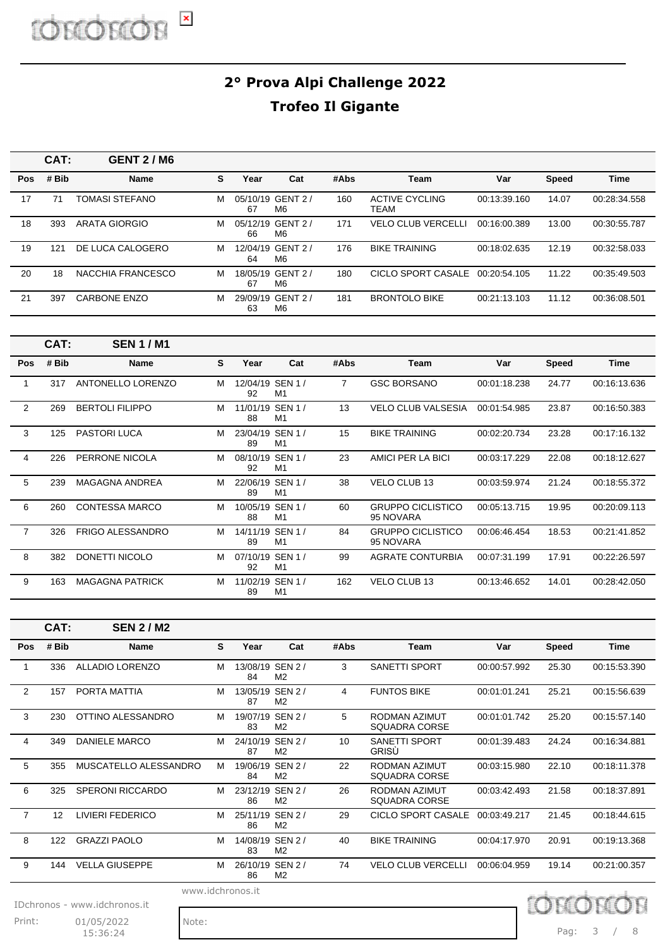|     | CAT:  | <b>GENT 2/M6</b>    |   |      |                                    |      |                           |              |              |              |
|-----|-------|---------------------|---|------|------------------------------------|------|---------------------------|--------------|--------------|--------------|
| Pos | # Bib | <b>Name</b>         | S | Year | Cat                                | #Abs | Team                      | Var          | <b>Speed</b> | Time         |
| 17  | 71    | TOMASI STEFANO      | м | 67   | 05/10/19 GENT 2/<br>M6             | 160  | ACTIVE CYCLING<br>TEAM    | 00:13:39.160 | 14.07        | 00:28:34.558 |
| 18  | 393   | ARATA GIORGIO       | м | 66   | 05/12/19 GENT 2 /<br>M6            | 171  | <b>VELO CLUB VERCELLI</b> | 00:16:00.389 | 13.00        | 00:30:55.787 |
| 19  | 121   | DE LUCA CALOGERO    | м | 64   | 12/04/19 GENT 2 /<br>M6            | 176  | <b>BIKE TRAINING</b>      | 00:18:02.635 | 12.19        | 00:32:58.033 |
| 20  | 18    | NACCHIA FRANCESCO   | м | 67   | 18/05/19 GENT 2 /<br>M6            | 180  | CICLO SPORT CASALE        | 00:20:54.105 | 11.22        | 00:35:49.503 |
| 21  | 397   | <b>CARBONE ENZO</b> | м | 63   | 29/09/19 GENT 2/<br>M <sub>6</sub> | 181  | <b>BRONTOLO BIKE</b>      | 00:21:13.103 | 11.12        | 00:36:08.501 |

|            | CAT:  | <b>SEN 1/M1</b>         |   |                        |                |      |                                       |              |       |              |
|------------|-------|-------------------------|---|------------------------|----------------|------|---------------------------------------|--------------|-------|--------------|
| <b>Pos</b> | # Bib | <b>Name</b>             | S | Year                   | Cat            | #Abs | Team                                  | Var          | Speed | <b>Time</b>  |
|            | 317   | ANTONELLO LORENZO       | м | 12/04/19 SEN 1 /<br>92 | M <sub>1</sub> | 7    | <b>GSC BORSANO</b>                    | 00:01:18.238 | 24.77 | 00:16:13.636 |
| 2          | 269   | <b>BERTOLI FILIPPO</b>  | м | 11/01/19 SEN 1 /<br>88 | M <sub>1</sub> | 13   | <b>VELO CLUB VALSESIA</b>             | 00:01:54.985 | 23.87 | 00:16:50.383 |
| 3          | 125   | <b>PASTORI LUCA</b>     | м | 23/04/19 SEN 1 /<br>89 | M <sub>1</sub> | 15   | <b>BIKE TRAINING</b>                  | 00:02:20.734 | 23.28 | 00:17:16.132 |
| 4          | 226   | PERRONE NICOLA          | м | 08/10/19 SEN 1 /<br>92 | M <sub>1</sub> | 23   | AMICI PER LA BICI                     | 00:03:17.229 | 22.08 | 00:18:12.627 |
| 5          | 239   | <b>MAGAGNA ANDREA</b>   | м | 22/06/19 SEN 1 /<br>89 | M <sub>1</sub> | 38   | <b>VELO CLUB 13</b>                   | 00:03:59.974 | 21.24 | 00:18:55.372 |
| 6          | 260   | <b>CONTESSA MARCO</b>   | м | 10/05/19 SEN 1 /<br>88 | M <sub>1</sub> | 60   | <b>GRUPPO CICLISTICO</b><br>95 NOVARA | 00:05:13.715 | 19.95 | 00:20:09.113 |
| 7          | 326   | <b>FRIGO ALESSANDRO</b> | м | 14/11/19 SEN 1 /<br>89 | M <sub>1</sub> | 84   | <b>GRUPPO CICLISTICO</b><br>95 NOVARA | 00:06:46.454 | 18.53 | 00:21:41.852 |
| 8          | 382   | DONETTI NICOLO          | м | 07/10/19 SEN 1 /<br>92 | M <sub>1</sub> | 99   | <b>AGRATE CONTURBIA</b>               | 00:07:31.199 | 17.91 | 00:22:26.597 |
| 9          | 163   | <b>MAGAGNA PATRICK</b>  | м | 11/02/19 SEN 1 /<br>89 | M <sub>1</sub> | 162  | <b>VELO CLUB 13</b>                   | 00:13:46.652 | 14.01 | 00:28:42.050 |

|                | CAT:  | <b>SEN 2/M2</b>              |                  |                        |                |      |                                       |              |              |              |
|----------------|-------|------------------------------|------------------|------------------------|----------------|------|---------------------------------------|--------------|--------------|--------------|
| Pos            | # Bib | <b>Name</b>                  | S                | Year                   | Cat            | #Abs | <b>Team</b>                           | Var          | <b>Speed</b> | <b>Time</b>  |
|                | 336   | <b>ALLADIO LORENZO</b>       | М                | 13/08/19 SEN 2 /<br>84 | M2             | 3    | <b>SANETTI SPORT</b>                  | 00:00:57.992 | 25.30        | 00:15:53.390 |
| $\overline{2}$ | 157   | PORTA MATTIA                 | м                | 13/05/19 SEN 2 /<br>87 | M2             | 4    | <b>FUNTOS BIKE</b>                    | 00:01:01.241 | 25.21        | 00:15:56.639 |
| 3              | 230   | OTTINO ALESSANDRO            | м                | 19/07/19 SEN 2 /<br>83 | M <sub>2</sub> | 5    | RODMAN AZIMUT<br><b>SQUADRA CORSE</b> | 00:01:01.742 | 25.20        | 00:15:57.140 |
| 4              | 349   | <b>DANIELE MARCO</b>         | М                | 24/10/19 SEN 2 /<br>87 | M2             | 10   | <b>SANETTI SPORT</b><br>GRISÙ         | 00:01:39.483 | 24.24        | 00:16:34.881 |
| 5              | 355   | MUSCATELLO ALESSANDRO        | М                | 19/06/19 SEN 2 /<br>84 | M2             | 22   | RODMAN AZIMUT<br>SQUADRA CORSE        | 00:03:15.980 | 22.10        | 00:18:11.378 |
| 6              | 325   | <b>SPERONI RICCARDO</b>      | м                | 23/12/19 SEN 2 /<br>86 | M <sub>2</sub> | 26   | RODMAN AZIMUT<br>SQUADRA CORSE        | 00:03:42.493 | 21.58        | 00:18:37.891 |
| $\overline{7}$ | 12    | LIVIERI FEDERICO             | М                | 25/11/19 SEN 2 /<br>86 | M2             | 29   | CICLO SPORT CASALE                    | 00:03:49.217 | 21.45        | 00:18:44.615 |
| 8              | 122   | <b>GRAZZI PAOLO</b>          | м                | 14/08/19 SEN 2 /<br>83 | M <sub>2</sub> | 40   | <b>BIKE TRAINING</b>                  | 00:04:17.970 | 20.91        | 00:19:13.368 |
| 9              | 144   | <b>VELLA GIUSEPPE</b>        | м                | 26/10/19 SEN 2 /<br>86 | M2             | 74   | <b>VELO CLUB VERCELLI</b>             | 00:06:04.959 | 19.14        | 00:21:00.357 |
|                |       | IDchronos - www.idchronos.it | www.idchronos.it |                        |                |      |                                       |              |              |              |

Print: 01/05/2022 Note:  $15:36:24$ 

Pag: 3 / 8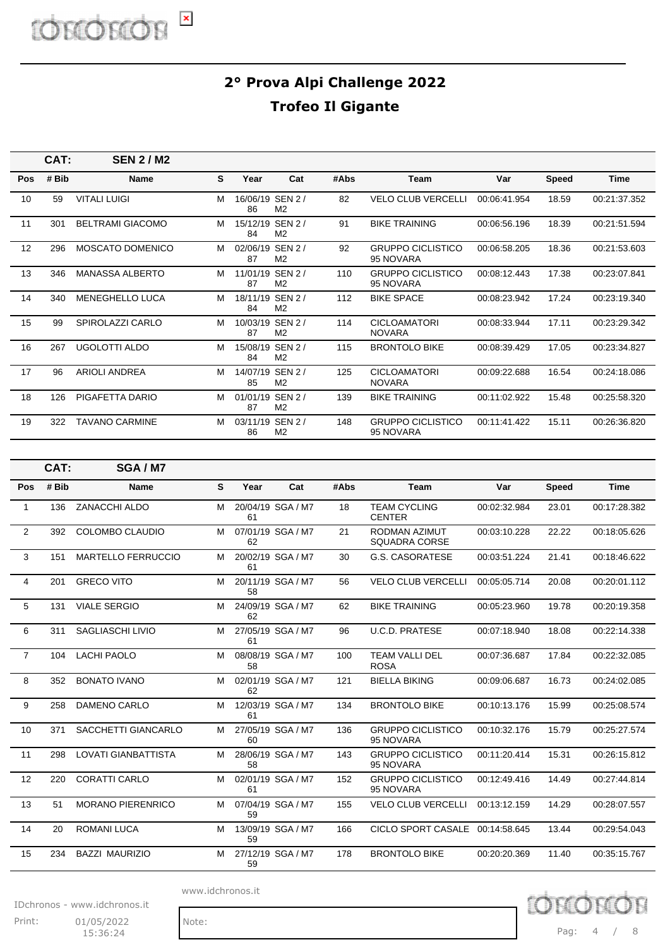|     | CAT:  | <b>SEN 2/M2</b>         |   |                        |                                    |      |                                       |              |              |              |
|-----|-------|-------------------------|---|------------------------|------------------------------------|------|---------------------------------------|--------------|--------------|--------------|
| Pos | # Bib | <b>Name</b>             | S | Year                   | Cat                                | #Abs | <b>Team</b>                           | Var          | <b>Speed</b> | Time         |
| 10  | 59    | <b>VITALI LUIGI</b>     | М | 16/06/19 SEN 2/<br>86  | M <sub>2</sub>                     | 82   | <b>VELO CLUB VERCELLI</b>             | 00:06:41.954 | 18.59        | 00:21:37.352 |
| 11  | 301   | <b>BELTRAMI GIACOMO</b> | м | 15/12/19 SEN 2 /<br>84 | M2                                 | 91   | <b>BIKE TRAINING</b>                  | 00:06:56.196 | 18.39        | 00:21:51.594 |
| 12  | 296   | <b>MOSCATO DOMENICO</b> | м | 02/06/19 SEN 2 /<br>87 | M <sub>2</sub>                     | 92   | <b>GRUPPO CICLISTICO</b><br>95 NOVARA | 00:06:58.205 | 18.36        | 00:21:53.603 |
| 13  | 346   | <b>MANASSA ALBERTO</b>  | м | 11/01/19 SEN 2 /<br>87 | M2                                 | 110  | <b>GRUPPO CICLISTICO</b><br>95 NOVARA | 00:08:12.443 | 17.38        | 00:23:07.841 |
| 14  | 340   | <b>MENEGHELLO LUCA</b>  | м | 18/11/19 SEN 2 /<br>84 | M <sub>2</sub>                     | 112  | <b>BIKE SPACE</b>                     | 00:08:23.942 | 17.24        | 00:23:19.340 |
| 15  | 99    | SPIROLAZZI CARLO        | M | 87                     | 10/03/19 SEN 2 /<br>M <sub>2</sub> | 114  | <b>CICLOAMATORI</b><br><b>NOVARA</b>  | 00:08:33.944 | 17.11        | 00:23:29.342 |
| 16  | 267   | UGOLOTTI ALDO           | м | 15/08/19 SEN 2 /<br>84 | M <sub>2</sub>                     | 115  | <b>BRONTOLO BIKE</b>                  | 00:08:39.429 | 17.05        | 00:23:34.827 |
| 17  | 96    | <b>ARIOLI ANDREA</b>    | м | 14/07/19 SEN 2 /<br>85 | M <sub>2</sub>                     | 125  | <b>CICLOAMATORI</b><br><b>NOVARA</b>  | 00:09:22.688 | 16.54        | 00:24:18.086 |
| 18  | 126   | PIGAFETTA DARIO         | м | 01/01/19 SEN 2 /<br>87 | M <sub>2</sub>                     | 139  | <b>BIKE TRAINING</b>                  | 00:11:02.922 | 15.48        | 00:25:58.320 |
| 19  | 322   | <b>TAVANO CARMINE</b>   | м | 03/11/19 SEN 2 /<br>86 | M <sub>2</sub>                     | 148  | <b>GRUPPO CICLISTICO</b><br>95 NOVARA | 00:11:41.422 | 15.11        | 00:26:36.820 |

|                | CAT:  | SGA / M7                   |   |      |                   |      |                                       |              |              |              |
|----------------|-------|----------------------------|---|------|-------------------|------|---------------------------------------|--------------|--------------|--------------|
| Pos            | # Bib | <b>Name</b>                | S | Year | Cat               | #Abs | <b>Team</b>                           | Var          | <b>Speed</b> | <b>Time</b>  |
| 1              | 136   | ZANACCHI ALDO              | M | 61   | 20/04/19 SGA / M7 | 18   | <b>TEAM CYCLING</b><br><b>CENTER</b>  | 00:02:32.984 | 23.01        | 00:17:28.382 |
| $\overline{2}$ | 392   | COLOMBO CLAUDIO            | м | 62   | 07/01/19 SGA / M7 | 21   | RODMAN AZIMUT<br><b>SQUADRA CORSE</b> | 00:03:10.228 | 22.22        | 00:18:05.626 |
| 3              | 151   | <b>MARTELLO FERRUCCIO</b>  | м | 61   | 20/02/19 SGA / M7 | 30   | <b>G.S. CASORATESE</b>                | 00:03:51.224 | 21.41        | 00:18:46.622 |
| 4              | 201   | <b>GRECO VITO</b>          | м | 58   | 20/11/19 SGA / M7 | 56   | <b>VELO CLUB VERCELLI</b>             | 00:05:05.714 | 20.08        | 00:20:01.112 |
| 5              | 131   | <b>VIALE SERGIO</b>        | м | 62   | 24/09/19 SGA / M7 | 62   | <b>BIKE TRAINING</b>                  | 00:05:23.960 | 19.78        | 00:20:19.358 |
| 6              | 311   | <b>SAGLIASCHI LIVIO</b>    | M | 61   | 27/05/19 SGA / M7 | 96   | <b>U.C.D. PRATESE</b>                 | 00:07:18.940 | 18.08        | 00:22:14.338 |
| $\overline{7}$ | 104   | <b>LACHI PAOLO</b>         | м | 58   | 08/08/19 SGA / M7 | 100  | <b>TEAM VALLI DEL</b><br><b>ROSA</b>  | 00:07:36.687 | 17.84        | 00:22:32.085 |
| 8              | 352   | <b>BONATO IVANO</b>        | M | 62   | 02/01/19 SGA / M7 | 121  | <b>BIELLA BIKING</b>                  | 00:09:06.687 | 16.73        | 00:24:02.085 |
| 9              | 258   | DAMENO CARLO               | м | 61   | 12/03/19 SGA / M7 | 134  | <b>BRONTOLO BIKE</b>                  | 00:10:13.176 | 15.99        | 00:25:08.574 |
| 10             | 371   | SACCHETTI GIANCARLO        | M | 60   | 27/05/19 SGA / M7 | 136  | <b>GRUPPO CICLISTICO</b><br>95 NOVARA | 00:10:32.176 | 15.79        | 00:25:27.574 |
| 11             | 298   | <b>LOVATI GIANBATTISTA</b> | м | 58   | 28/06/19 SGA / M7 | 143  | <b>GRUPPO CICLISTICO</b><br>95 NOVARA | 00:11:20.414 | 15.31        | 00:26:15.812 |
| 12             | 220   | <b>CORATTI CARLO</b>       | м | 61   | 02/01/19 SGA / M7 | 152  | <b>GRUPPO CICLISTICO</b><br>95 NOVARA | 00:12:49.416 | 14.49        | 00:27:44.814 |
| 13             | 51    | <b>MORANO PIERENRICO</b>   | м | 59   | 07/04/19 SGA / M7 | 155  | <b>VELO CLUB VERCELLI</b>             | 00:13:12.159 | 14.29        | 00:28:07.557 |
| 14             | 20    | <b>ROMANI LUCA</b>         | M | 59   | 13/09/19 SGA / M7 | 166  | CICLO SPORT CASALE 00:14:58.645       |              | 13.44        | 00:29:54.043 |
| 15             | 234   | <b>BAZZI MAURIZIO</b>      | M | 59   | 27/12/19 SGA / M7 | 178  | <b>BRONTOLO BIKE</b>                  | 00:20:20.369 | 11.40        | 00:35:15.767 |

www.idchronos.it

IDchronos - www.idchronos.it

Print: 01/05/2022 Note:  $15:36:24$ 

Pag: 4 / 8

DCUIOL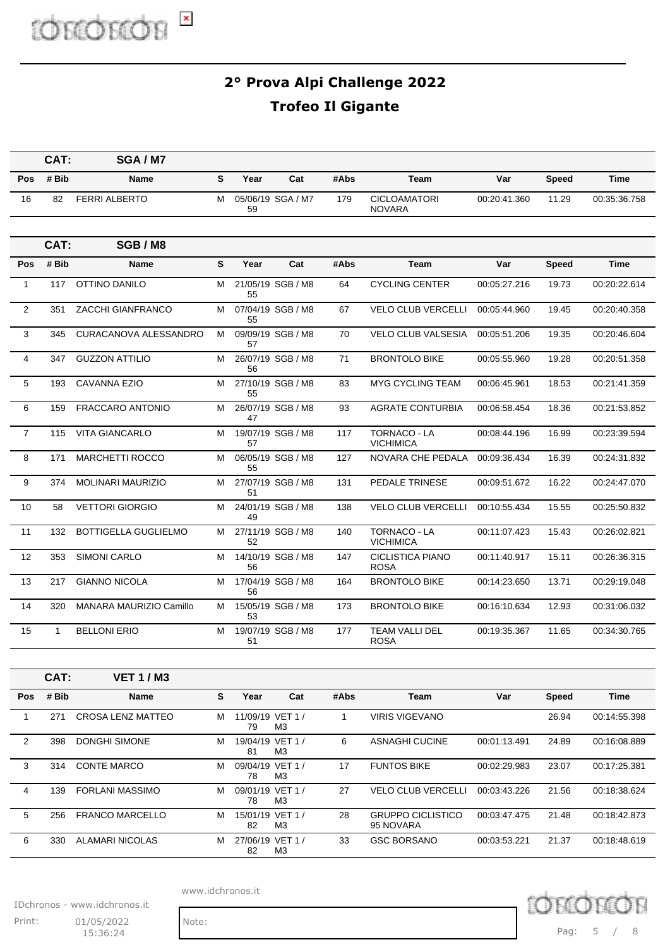D chror E

#### **2° Prova Alpi Challenge 2022 Trofeo Il Gigante**

|                | CAT:         | SGA / M7                     |              |                        |                   |              |                                         |              |              |              |
|----------------|--------------|------------------------------|--------------|------------------------|-------------------|--------------|-----------------------------------------|--------------|--------------|--------------|
| <b>Pos</b>     | # Bib        | <b>Name</b>                  | S            | Year                   | Cat               | #Abs         | <b>Team</b>                             | Var          | <b>Speed</b> | <b>Time</b>  |
| 16             | 82           | <b>FERRI ALBERTO</b>         | м            | 59                     | 05/06/19 SGA / M7 | 179          | <b>CICLOAMATORI</b><br><b>NOVARA</b>    | 00:20:41.360 | 11.29        | 00:35:36.758 |
|                |              |                              |              |                        |                   |              |                                         |              |              |              |
|                | CAT:         | SGB / M8                     |              |                        |                   |              |                                         |              |              |              |
| <b>Pos</b>     | # Bib        | Name                         | $\mathbf{s}$ | Year                   | Cat               | #Abs         | <b>Team</b>                             | Var          | <b>Speed</b> | Time         |
| $\mathbf{1}$   | 117          | OTTINO DANILO                | м            | 55                     | 21/05/19 SGB / M8 | 64           | <b>CYCLING CENTER</b>                   | 00:05:27.216 | 19.73        | 00:20:22.614 |
| 2              | 351          | ZACCHI GIANFRANCO            | м            | 55                     | 07/04/19 SGB / M8 | 67           | <b>VELO CLUB VERCELLI</b>               | 00:05:44.960 | 19.45        | 00:20:40.358 |
| 3              | 345          | <b>CURACANOVA ALESSANDRO</b> | м            | 57                     | 09/09/19 SGB / M8 | 70           | <b>VELO CLUB VALSESIA</b>               | 00:05:51.206 | 19.35        | 00:20:46.604 |
| 4              | 347          | <b>GUZZON ATTILIO</b>        | м            | 56                     | 26/07/19 SGB / M8 | 71           | <b>BRONTOLO BIKE</b>                    | 00:05:55.960 | 19.28        | 00:20:51.358 |
| 5              | 193          | <b>CAVANNA EZIO</b>          | м            | 55                     | 27/10/19 SGB / M8 | 83           | <b>MYG CYCLING TEAM</b>                 | 00:06:45.961 | 18.53        | 00:21:41.359 |
| 6              | 159          | <b>FRACCARO ANTONIO</b>      | м            | 47                     | 26/07/19 SGB / M8 | 93           | <b>AGRATE CONTURBIA</b>                 | 00:06:58.454 | 18.36        | 00:21:53.852 |
| $\overline{7}$ | 115          | <b>VITA GIANCARLO</b>        | м            | 57                     | 19/07/19 SGB / M8 | 117          | <b>TORNACO - LA</b><br>VICHIMICA        | 00:08:44.196 | 16.99        | 00:23:39.594 |
| 8              | 171          | <b>MARCHETTI ROCCO</b>       | м            | 55                     | 06/05/19 SGB / M8 | 127          | NOVARA CHE PEDALA                       | 00:09:36.434 | 16.39        | 00:24:31.832 |
| 9              | 374          | <b>MOLINARI MAURIZIO</b>     | м            | 51                     | 27/07/19 SGB / M8 | 131          | PEDALE TRINESE                          | 00:09:51.672 | 16.22        | 00:24:47.070 |
| 10             | 58           | <b>VETTORI GIORGIO</b>       | м            | 49                     | 24/01/19 SGB / M8 | 138          | <b>VELO CLUB VERCELLI</b>               | 00:10:55.434 | 15.55        | 00:25:50.832 |
| 11             | 132          | <b>BOTTIGELLA GUGLIELMO</b>  | м            | 52                     | 27/11/19 SGB / M8 | 140          | <b>TORNACO - LA</b><br><b>VICHIMICA</b> | 00:11:07.423 | 15.43        | 00:26:02.821 |
| 12             | 353          | <b>SIMONI CARLO</b>          | м            | 56                     | 14/10/19 SGB / M8 | 147          | <b>CICLISTICA PIANO</b><br><b>ROSA</b>  | 00:11:40.917 | 15.11        | 00:26:36.315 |
| 13             | 217          | <b>GIANNO NICOLA</b>         | М            | 56                     | 17/04/19 SGB / M8 | 164          | <b>BRONTOLO BIKE</b>                    | 00:14:23.650 | 13.71        | 00:29:19.048 |
| 14             | 320          | MANARA MAURIZIO Camillo      | м            | 53                     | 15/05/19 SGB / M8 | 173          | <b>BRONTOLO BIKE</b>                    | 00:16:10.634 | 12.93        | 00:31:06.032 |
| 15             | $\mathbf{1}$ | <b>BELLONI ERIO</b>          | М            | 51                     | 19/07/19 SGB / M8 | 177          | TEAM VALLI DEL<br><b>ROSA</b>           | 00:19:35.367 | 11.65        | 00:34:30.765 |
|                |              |                              |              |                        |                   |              |                                         |              |              |              |
|                | CAT:         | <b>VET 1/M3</b>              |              |                        |                   |              |                                         |              |              |              |
| Pos            | # Bib        | Name                         | S            | Year                   | Cat               | #Abs         | Team                                    | Var          | <b>Speed</b> | Time         |
| $\mathbf{1}$   | 271          | <b>CROSA LENZ MATTEO</b>     | м            | 11/09/19 VET 1 /<br>79 | M3                | $\mathbf{1}$ | <b>VIRIS VIGEVANO</b>                   |              | 26.94        | 00:14:55.398 |
| $\overline{2}$ | 398          | DONGHI SIMONE                | м            | 19/04/19 VET 1 /<br>81 | MЗ                | 6            | <b>ASNAGHI CUCINE</b>                   | 00:01:13.491 | 24.89        | 00:16:08.889 |
| 3              | 314          | <b>CONTE MARCO</b>           | м            | 09/04/19 VET 1 /<br>78 | M <sub>3</sub>    | 17           | <b>FUNTOS BIKE</b>                      | 00:02:29.983 | 23.07        | 00:17:25.381 |
| 4              | 139          | <b>FORLANI MASSIMO</b>       | м            | 09/01/19 VET 1 /<br>78 | M3                | 27           | <b>VELO CLUB VERCELLI</b>               | 00:03:43.226 | 21.56        | 00:18:38.624 |
| 5              | 256          | <b>FRANCO MARCELLO</b>       | м            | 15/01/19 VET 1 /<br>82 | M <sub>3</sub>    | 28           | <b>GRUPPO CICLISTICO</b><br>95 NOVARA   | 00:03:47.475 | 21.48        | 00:18:42.873 |

www.idchronos.it

82 M 27/06/19 VET 1 / M3

IDchronos - www.idchronos.it

6 330 ALAMARI NICOLAS

Print: 01/05/2022 Note:  $15:36:24$ 

I. hror Pag: 5 / 8

33 GSC BORSANO 00:03:53.221 21.37 00:18:48.619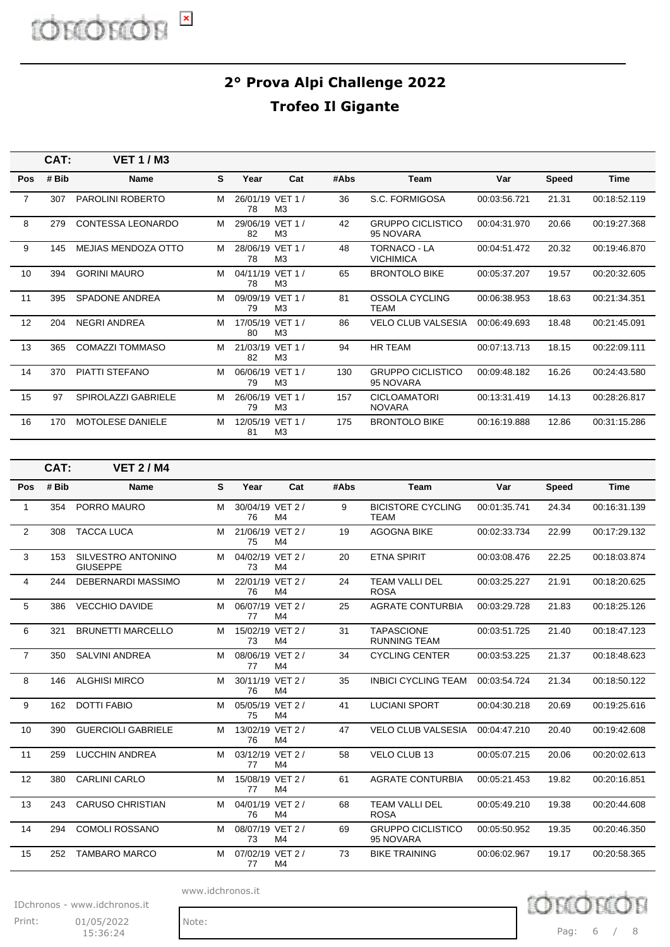|                | CAT:  | <b>VET 1/M3</b>          |    |                        |                |      |                                       |              |              |              |
|----------------|-------|--------------------------|----|------------------------|----------------|------|---------------------------------------|--------------|--------------|--------------|
| Pos            | # Bib | <b>Name</b>              | S. | Year                   | Cat            | #Abs | <b>Team</b>                           | Var          | <b>Speed</b> | <b>Time</b>  |
| $\overline{7}$ | 307   | <b>PAROLINI ROBERTO</b>  | м  | 26/01/19 VET 1 /<br>78 | M3             | 36   | S.C. FORMIGOSA                        | 00:03:56.721 | 21.31        | 00:18:52.119 |
| 8              | 279   | <b>CONTESSA LEONARDO</b> | м  | 29/06/19 VET 1 /<br>82 | M <sub>3</sub> | 42   | <b>GRUPPO CICLISTICO</b><br>95 NOVARA | 00:04:31.970 | 20.66        | 00:19:27.368 |
| 9              | 145   | MEJIAS MENDOZA OTTO      | м  | 28/06/19 VET 1 /<br>78 | M3             | 48   | TORNACO - LA<br><b>VICHIMICA</b>      | 00:04:51.472 | 20.32        | 00:19:46.870 |
| 10             | 394   | <b>GORINI MAURO</b>      | м  | 04/11/19 VET 1 /<br>78 | M <sub>3</sub> | 65   | <b>BRONTOLO BIKE</b>                  | 00:05:37.207 | 19.57        | 00:20:32.605 |
| 11             | 395   | <b>SPADONE ANDREA</b>    | М  | 09/09/19 VET 1 /<br>79 | M <sub>3</sub> | 81   | OSSOLA CYCLING<br><b>TEAM</b>         | 00:06:38.953 | 18.63        | 00:21:34.351 |
| 12             | 204   | NEGRI ANDREA             | м  | 17/05/19 VET 1 /<br>80 | M3             | 86   | <b>VELO CLUB VALSESIA</b>             | 00:06:49.693 | 18.48        | 00:21:45.091 |
| 13             | 365   | <b>COMAZZI TOMMASO</b>   | М  | 21/03/19 VET 1 /<br>82 | M <sub>3</sub> | 94   | <b>HR TEAM</b>                        | 00:07:13.713 | 18.15        | 00:22:09.111 |
| 14             | 370   | <b>PIATTI STEFANO</b>    | м  | 06/06/19 VET 1 /<br>79 | M <sub>3</sub> | 130  | <b>GRUPPO CICLISTICO</b><br>95 NOVARA | 00:09:48.182 | 16.26        | 00:24:43.580 |
| 15             | 97    | SPIROLAZZI GABRIELE      | М  | 26/06/19 VET 1 /<br>79 | M <sub>3</sub> | 157  | <b>CICLOAMATORI</b><br><b>NOVARA</b>  | 00:13:31.419 | 14.13        | 00:28:26.817 |
| 16             | 170   | <b>MOTOLESE DANIELE</b>  | м  | 12/05/19 VET 1 /<br>81 | M <sub>3</sub> | 175  | <b>BRONTOLO BIKE</b>                  | 00:16:19.888 | 12.86        | 00:31:15.286 |

|                | CAT:  | <b>VET 2/M4</b>                              |   |                        |                |      |                                          |              |              |              |
|----------------|-------|----------------------------------------------|---|------------------------|----------------|------|------------------------------------------|--------------|--------------|--------------|
| Pos            | # Bib | <b>Name</b>                                  | S | Year                   | Cat            | #Abs | <b>Team</b>                              | Var          | <b>Speed</b> | <b>Time</b>  |
| 1              | 354   | PORRO MAURO                                  | M | 30/04/19 VET 2 /<br>76 | M4             | 9    | <b>BICISTORE CYCLING</b><br><b>TEAM</b>  | 00:01:35.741 | 24.34        | 00:16:31.139 |
| $\overline{2}$ | 308   | <b>TACCA LUCA</b>                            | м | 21/06/19 VET 2 /<br>75 | M <sub>4</sub> | 19   | <b>AGOGNA BIKE</b>                       | 00:02:33.734 | 22.99        | 00:17:29.132 |
| 3              | 153   | <b>SILVESTRO ANTONINO</b><br><b>GIUSEPPE</b> | м | 04/02/19 VET 2 /<br>73 | M4             | 20   | <b>ETNA SPIRIT</b>                       | 00:03:08.476 | 22.25        | 00:18:03.874 |
| 4              | 244   | DEBERNARDI MASSIMO                           | м | 22/01/19 VET 2 /<br>76 | M4             | 24   | TEAM VALLI DEL<br><b>ROSA</b>            | 00:03:25.227 | 21.91        | 00:18:20.625 |
| 5              | 386   | <b>VECCHIO DAVIDE</b>                        | м | 06/07/19 VET 2 /<br>77 | M <sub>4</sub> | 25   | <b>AGRATE CONTURBIA</b>                  | 00:03:29.728 | 21.83        | 00:18:25.126 |
| 6              | 321   | <b>BRUNETTI MARCELLO</b>                     | M | 15/02/19 VET 2 /<br>73 | M <sub>4</sub> | 31   | <b>TAPASCIONE</b><br><b>RUNNING TEAM</b> | 00:03:51.725 | 21.40        | 00:18:47.123 |
| $\overline{7}$ | 350   | <b>SALVINI ANDREA</b>                        | M | 08/06/19 VET 2 /<br>77 | M4             | 34   | <b>CYCLING CENTER</b>                    | 00:03:53.225 | 21.37        | 00:18:48.623 |
| 8              | 146   | <b>ALGHISI MIRCO</b>                         | м | 30/11/19 VET 2/<br>76  | M <sub>4</sub> | 35   | <b>INBICI CYCLING TEAM</b>               | 00:03:54.724 | 21.34        | 00:18:50.122 |
| 9              | 162   | <b>DOTTI FABIO</b>                           | м | 05/05/19 VET 2 /<br>75 | M <sub>4</sub> | 41   | <b>LUCIANI SPORT</b>                     | 00:04:30.218 | 20.69        | 00:19:25.616 |
| 10             | 390   | <b>GUERCIOLI GABRIELE</b>                    | м | 13/02/19 VET 2 /<br>76 | M <sub>4</sub> | 47   | <b>VELO CLUB VALSESIA</b>                | 00:04:47.210 | 20.40        | 00:19:42.608 |
| 11             | 259   | <b>LUCCHIN ANDREA</b>                        | м | 03/12/19 VET 2 /<br>77 | M4             | 58   | <b>VELO CLUB 13</b>                      | 00:05:07.215 | 20.06        | 00:20:02.613 |
| 12             | 380   | <b>CARLINI CARLO</b>                         | M | 15/08/19 VET 2 /<br>77 | M4             | 61   | <b>AGRATE CONTURBIA</b>                  | 00:05:21.453 | 19.82        | 00:20:16.851 |
| 13             | 243   | <b>CARUSO CHRISTIAN</b>                      | м | 04/01/19 VET 2 /<br>76 | M4             | 68   | <b>TEAM VALLI DEL</b><br><b>ROSA</b>     | 00:05:49.210 | 19.38        | 00:20:44.608 |
| 14             | 294   | <b>COMOLI ROSSANO</b>                        | м | 08/07/19 VET 2 /<br>73 | M4             | 69   | <b>GRUPPO CICLISTICO</b><br>95 NOVARA    | 00:05:50.952 | 19.35        | 00:20:46.350 |
| 15             | 252   | <b>TAMBARO MARCO</b>                         | M | 07/02/19 VET 2 /<br>77 | M <sub>4</sub> | 73   | <b>BIKE TRAINING</b>                     | 00:06:02.967 | 19.17        | 00:20:58.365 |

www.idchronos.it

IDchronos - www.idchronos.it

Print: 01/05/2022 Note:  $15:36:24$ 

Pag: 6 / 8

DCUIOL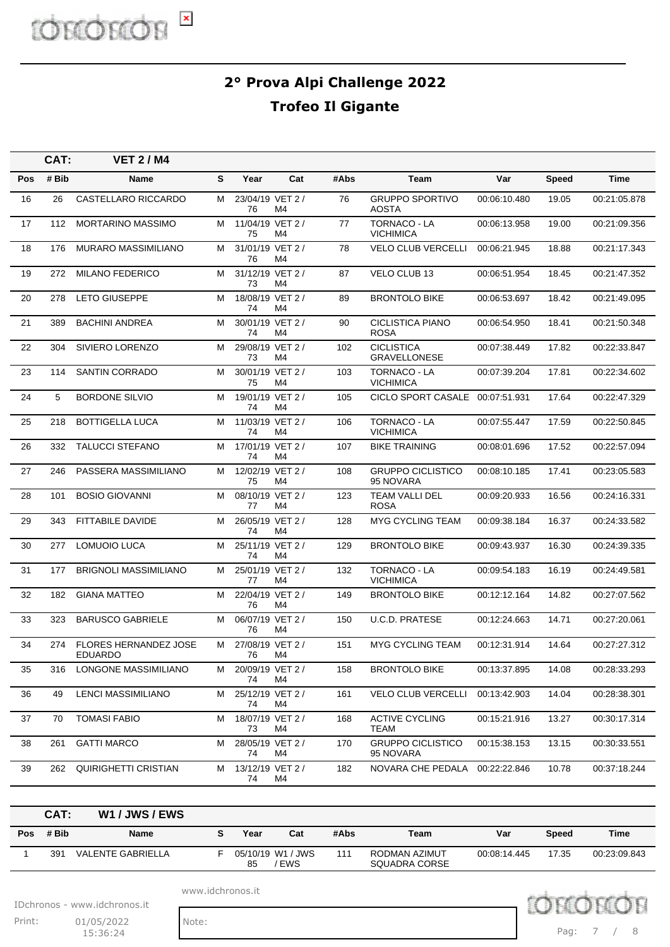| CAT:  | <b>VET 2/M4</b>                                |                                                  |      |     |                                                                                                                                                                                                                                                                                                                                                                                                                                                                                              |                                          |              |                                                      |              |
|-------|------------------------------------------------|--------------------------------------------------|------|-----|----------------------------------------------------------------------------------------------------------------------------------------------------------------------------------------------------------------------------------------------------------------------------------------------------------------------------------------------------------------------------------------------------------------------------------------------------------------------------------------------|------------------------------------------|--------------|------------------------------------------------------|--------------|
| # Bib | Name                                           | S                                                | Year | Cat | #Abs                                                                                                                                                                                                                                                                                                                                                                                                                                                                                         | Team                                     | Var          | <b>Speed</b>                                         | Time         |
| 26    | CASTELLARO RICCARDO                            | м                                                | 76   | M4  | 76                                                                                                                                                                                                                                                                                                                                                                                                                                                                                           | <b>GRUPPO SPORTIVO</b><br><b>AOSTA</b>   | 00:06:10.480 | 19.05                                                | 00:21:05.878 |
| 112   | <b>MORTARINO MASSIMO</b>                       | м                                                | 75   | M4  | 77                                                                                                                                                                                                                                                                                                                                                                                                                                                                                           | <b>TORNACO - LA</b><br><b>VICHIMICA</b>  | 00:06:13.958 | 19.00                                                | 00:21:09.356 |
| 176   | <b>MURARO MASSIMILIANO</b>                     | м                                                | 76   | M4  | 78                                                                                                                                                                                                                                                                                                                                                                                                                                                                                           | <b>VELO CLUB VERCELLI</b>                | 00:06:21.945 | 18.88                                                | 00:21:17.343 |
| 272   | <b>MILANO FEDERICO</b>                         | м                                                | 73   | M4  | 87                                                                                                                                                                                                                                                                                                                                                                                                                                                                                           | <b>VELO CLUB 13</b>                      | 00:06:51.954 | 18.45                                                | 00:21:47.352 |
| 278   | <b>LETO GIUSEPPE</b>                           | м                                                | 74   | M4  | 89                                                                                                                                                                                                                                                                                                                                                                                                                                                                                           | <b>BRONTOLO BIKE</b>                     | 00:06:53.697 | 18.42                                                | 00:21:49.095 |
| 389   | <b>BACHINI ANDREA</b>                          | м                                                | 74   | M4  | 90                                                                                                                                                                                                                                                                                                                                                                                                                                                                                           | <b>CICLISTICA PIANO</b><br><b>ROSA</b>   | 00:06:54.950 | 18.41                                                | 00:21:50.348 |
| 304   | SIVIERO LORENZO                                | м                                                | 73   | M4  | 102                                                                                                                                                                                                                                                                                                                                                                                                                                                                                          | <b>CICLISTICA</b><br><b>GRAVELLONESE</b> | 00:07:38.449 | 17.82                                                | 00:22:33.847 |
| 114   | <b>SANTIN CORRADO</b>                          | м                                                | 75   | M4  | 103                                                                                                                                                                                                                                                                                                                                                                                                                                                                                          | <b>TORNACO - LA</b><br><b>VICHIMICA</b>  | 00:07:39.204 | 17.81                                                | 00:22:34.602 |
| 5     | <b>BORDONE SILVIO</b>                          | м                                                | 74   | M4  | 105                                                                                                                                                                                                                                                                                                                                                                                                                                                                                          |                                          |              | 17.64                                                | 00:22:47.329 |
| 218   | <b>BOTTIGELLA LUCA</b>                         | м                                                | 74   | M4  | 106                                                                                                                                                                                                                                                                                                                                                                                                                                                                                          | <b>TORNACO - LA</b><br><b>VICHIMICA</b>  | 00:07:55.447 | 17.59                                                | 00:22:50.845 |
| 332   | <b>TALUCCI STEFANO</b>                         | м                                                | 74   | M4  | 107                                                                                                                                                                                                                                                                                                                                                                                                                                                                                          | <b>BIKE TRAINING</b>                     | 00:08:01.696 | 17.52                                                | 00:22:57.094 |
| 246   | PASSERA MASSIMILIANO                           | м                                                | 75   | M4  | 108                                                                                                                                                                                                                                                                                                                                                                                                                                                                                          | <b>GRUPPO CICLISTICO</b><br>95 NOVARA    | 00:08:10.185 | 17.41                                                | 00:23:05.583 |
| 101   | <b>BOSIO GIOVANNI</b>                          | м                                                | 77   | M4  | 123                                                                                                                                                                                                                                                                                                                                                                                                                                                                                          | <b>TEAM VALLI DEL</b><br><b>ROSA</b>     | 00:09:20.933 | 16.56                                                | 00:24:16.331 |
| 343   | FITTABILE DAVIDE                               | м                                                | 74   | M4  | 128                                                                                                                                                                                                                                                                                                                                                                                                                                                                                          | <b>MYG CYCLING TEAM</b>                  | 00:09:38.184 | 16.37                                                | 00:24:33.582 |
| 277   | <b>LOMUOIO LUCA</b>                            | м                                                | 74   | M4  | 129                                                                                                                                                                                                                                                                                                                                                                                                                                                                                          | <b>BRONTOLO BIKE</b>                     | 00:09:43.937 | 16.30                                                | 00:24:39.335 |
| 177   | <b>BRIGNOLI MASSIMILIANO</b>                   | м                                                | 77   | M4  | 132                                                                                                                                                                                                                                                                                                                                                                                                                                                                                          | <b>TORNACO - LA</b><br><b>VICHIMICA</b>  | 00:09:54.183 | 16.19                                                | 00:24:49.581 |
| 182   | <b>GIANA MATTEO</b>                            | м                                                | 76   | M4  | 149                                                                                                                                                                                                                                                                                                                                                                                                                                                                                          | <b>BRONTOLO BIKE</b>                     | 00:12:12.164 | 14.82                                                | 00:27:07.562 |
| 323   | <b>BARUSCO GABRIELE</b>                        | м                                                | 76   | M4  | 150                                                                                                                                                                                                                                                                                                                                                                                                                                                                                          | <b>U.C.D. PRATESE</b>                    | 00:12:24.663 | 14.71                                                | 00:27:20.061 |
| 274   | <b>FLORES HERNANDEZ JOSE</b><br><b>EDUARDO</b> | м                                                | 76   | M4  | 151                                                                                                                                                                                                                                                                                                                                                                                                                                                                                          | <b>MYG CYCLING TEAM</b>                  | 00:12:31.914 | 14.64                                                | 00:27:27.312 |
| 316   |                                                | м                                                | 74   | M4  | 158                                                                                                                                                                                                                                                                                                                                                                                                                                                                                          | <b>BRONTOLO BIKE</b>                     | 00:13:37.895 | 14.08                                                | 00:28:33.293 |
| 49    | LENCI MASSIMILIANO                             | М                                                | 74   | M4  | 161                                                                                                                                                                                                                                                                                                                                                                                                                                                                                          | <b>VELO CLUB VERCELLI</b>                | 00:13:42.903 | 14.04                                                | 00:28:38.301 |
| 70    | <b>TOMASI FABIO</b>                            | м                                                | 73   | M4  | 168                                                                                                                                                                                                                                                                                                                                                                                                                                                                                          | <b>ACTIVE CYCLING</b><br>TEAM            | 00:15:21.916 | 13.27                                                | 00:30:17.314 |
| 261   | <b>GATTI MARCO</b>                             | м                                                | 74   | M4  | 170                                                                                                                                                                                                                                                                                                                                                                                                                                                                                          | <b>GRUPPO CICLISTICO</b><br>95 NOVARA    | 00:15:38.153 | 13.15                                                | 00:30:33.551 |
|       |                                                | м                                                | 74   | M4  | 182                                                                                                                                                                                                                                                                                                                                                                                                                                                                                          |                                          | 00:22:22.846 | 10.78                                                | 00:37:18.244 |
|       |                                                | LONGONE MASSIMILIANO<br>262 QUIRIGHETTI CRISTIAN |      |     | 23/04/19 VET 2 /<br>11/04/19 VET 2 /<br>31/01/19 VET 2 /<br>31/12/19 VET 2 /<br>18/08/19 VET 2 /<br>30/01/19 VET 2 /<br>29/08/19 VET 2 /<br>30/01/19 VET 2 /<br>19/01/19 VET 2 /<br>11/03/19 VET 2 /<br>17/01/19 VET 2 /<br>12/02/19 VET 2 /<br>08/10/19 VET 2 /<br>26/05/19 VET 2 /<br>25/11/19 VET 2 /<br>25/01/19 VET 2 /<br>22/04/19 VET 2 /<br>06/07/19 VET 2 /<br>27/08/19 VET 2 /<br>20/09/19 VET 2 /<br>25/12/19 VET 2 /<br>18/07/19 VET 2 /<br>28/05/19 VET 2 /<br>13/12/19 VET 2 / |                                          |              | CICLO SPORT CASALE 00:07:51.931<br>NOVARA CHE PEDALA |              |

|     | CAT:  | W1 / JWS / EWS           |      |                          |      |                                |              |       |              |
|-----|-------|--------------------------|------|--------------------------|------|--------------------------------|--------------|-------|--------------|
| Pos | # Bib | <b>Name</b>              | Year | Cat                      | #Abs | Team                           | Var          | Speed | Time         |
|     | 391   | <b>VALENTE GABRIELLA</b> | 85   | 05/10/19 W1 / JWS<br>EWS | 111  | RODMAN AZIMUT<br>SQUADRA CORSE | 00:08:14.445 | 17.35 | 00:23:09.843 |

www.idchronos.it

IDchronos - www.idchronos.it

Print: 01/05/2022 Note:  $15:36:24$ 

Pag: 7 / 8

Dchror